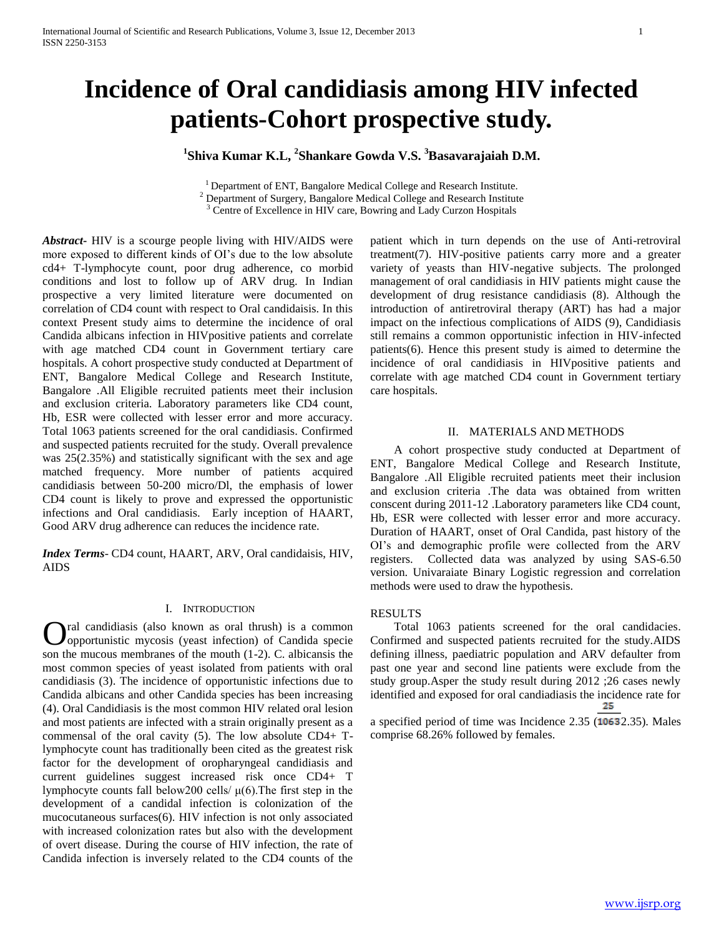# **Incidence of Oral candidiasis among HIV infected patients-Cohort prospective study.**

## **1 Shiva Kumar K.L, <sup>2</sup> Shankare Gowda V.S. <sup>3</sup>Basavarajaiah D.M.**

<sup>1</sup> Department of ENT, Bangalore Medical College and Research Institute. <sup>2</sup> Department of Surgery, Bangalore Medical College and Research Institute

<sup>3</sup> Centre of Excellence in HIV care, Bowring and Lady Curzon Hospitals

*Abstract***-** HIV is a scourge people living with HIV/AIDS were more exposed to different kinds of OI's due to the low absolute cd4+ T-lymphocyte count, poor drug adherence, co morbid conditions and lost to follow up of ARV drug. In Indian prospective a very limited literature were documented on correlation of CD4 count with respect to Oral candidaisis. In this context Present study aims to determine the incidence of oral Candida albicans infection in HIVpositive patients and correlate with age matched CD4 count in Government tertiary care hospitals. A cohort prospective study conducted at Department of ENT, Bangalore Medical College and Research Institute, Bangalore .All Eligible recruited patients meet their inclusion and exclusion criteria. Laboratory parameters like CD4 count, Hb, ESR were collected with lesser error and more accuracy. Total 1063 patients screened for the oral candidiasis. Confirmed and suspected patients recruited for the study. Overall prevalence was 25(2.35%) and statistically significant with the sex and age matched frequency. More number of patients acquired candidiasis between 50-200 micro/Dl, the emphasis of lower CD4 count is likely to prove and expressed the opportunistic infections and Oral candidiasis. Early inception of HAART, Good ARV drug adherence can reduces the incidence rate.

*Index Terms*- CD4 count, HAART, ARV, Oral candidaisis, HIV, AIDS

#### I. INTRODUCTION

ral candidiasis (also known as oral thrush) is a common opportunistic mycosis (yeast infection) of Candida specie son the mucous membranes of the mouth (1-2). C. albicansis the most common species of yeast isolated from patients with oral candidiasis (3). The incidence of opportunistic infections due to Candida albicans and other Candida species has been increasing (4). Oral Candidiasis is the most common HIV related oral lesion and most patients are infected with a strain originally present as a commensal of the oral cavity (5). The low absolute CD4+ Tlymphocyte count has traditionally been cited as the greatest risk factor for the development of oropharyngeal candidiasis and current guidelines suggest increased risk once CD4+ T lymphocyte counts fall below200 cells/ $\mu$ (6). The first step in the development of a candidal infection is colonization of the mucocutaneous surfaces(6). HIV infection is not only associated with increased colonization rates but also with the development of overt disease. During the course of HIV infection, the rate of Candida infection is inversely related to the CD4 counts of the O

patient which in turn depends on the use of Anti-retroviral treatment(7). HIV-positive patients carry more and a greater variety of yeasts than HIV-negative subjects. The prolonged management of oral candidiasis in HIV patients might cause the development of drug resistance candidiasis (8). Although the introduction of antiretroviral therapy (ART) has had a major impact on the infectious complications of AIDS (9), Candidiasis still remains a common opportunistic infection in HIV-infected patients(6). Hence this present study is aimed to determine the incidence of oral candidiasis in HIVpositive patients and correlate with age matched CD4 count in Government tertiary care hospitals.

#### II. MATERIALS AND METHODS

 A cohort prospective study conducted at Department of ENT, Bangalore Medical College and Research Institute, Bangalore .All Eligible recruited patients meet their inclusion and exclusion criteria .The data was obtained from written conscent during 2011-12 .Laboratory parameters like CD4 count, Hb, ESR were collected with lesser error and more accuracy. Duration of HAART, onset of Oral Candida, past history of the OI's and demographic profile were collected from the ARV registers. Collected data was analyzed by using SAS-6.50 version. Univaraiate Binary Logistic regression and correlation methods were used to draw the hypothesis.

### RESULTS

 Total 1063 patients screened for the oral candidacies. Confirmed and suspected patients recruited for the study.AIDS defining illness, paediatric population and ARV defaulter from past one year and second line patients were exclude from the study group.Asper the study result during 2012 ;26 cases newly identified and exposed for oral candiadiasis the incidence rate for 25

a specified period of time was Incidence 2.35 (10632.35). Males comprise 68.26% followed by females.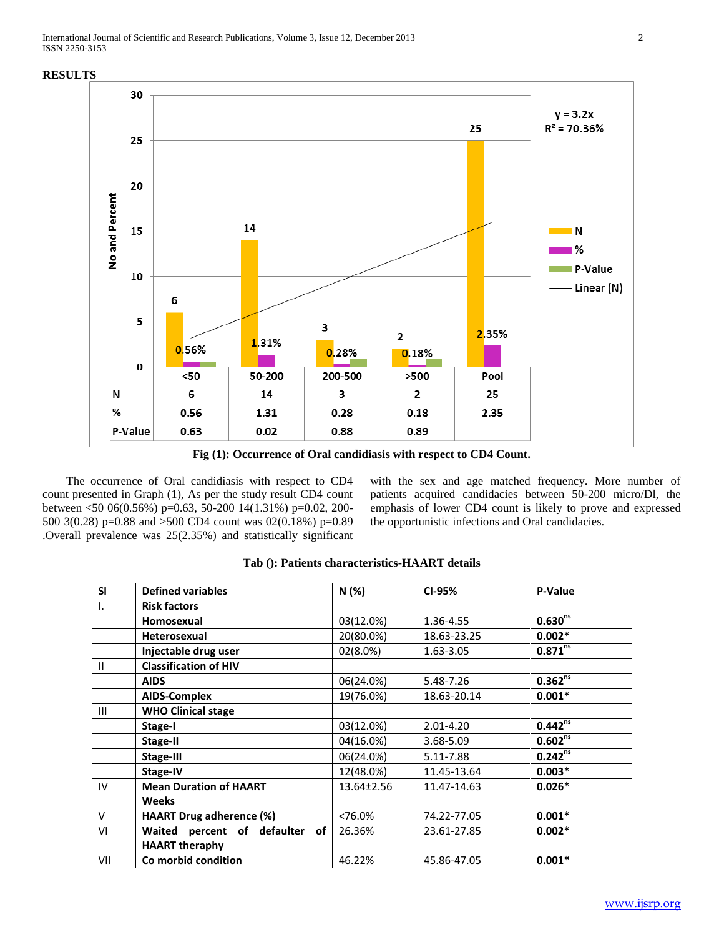#### **RESULTS**



**Fig (1): Occurrence of Oral candidiasis with respect to CD4 Count.**

 The occurrence of Oral candidiasis with respect to CD4 count presented in Graph (1), As per the study result CD4 count between <50 06(0.56%) p=0.63, 50-200 14(1.31%) p=0.02, 200- 500 3(0.28) p=0.88 and >500 CD4 count was 02(0.18%) p=0.89 .Overall prevalence was 25(2.35%) and statistically significant

with the sex and age matched frequency. More number of patients acquired candidacies between 50-200 micro/Dl, the emphasis of lower CD4 count is likely to prove and expressed the opportunistic infections and Oral candidacies.

| <b>SI</b>      | <b>Defined variables</b>                | N (%)      | CI-95%        | P-Value                 |
|----------------|-----------------------------------------|------------|---------------|-------------------------|
|                | <b>Risk factors</b>                     |            |               |                         |
|                | Homosexual                              | 03(12.0%)  | 1.36-4.55     | 0.630 <sup>ms</sup>     |
|                | <b>Heterosexual</b>                     | 20(80.0%)  | 18.63-23.25   | $0.002*$                |
|                | Injectable drug user                    | 02(8.0%)   | 1.63-3.05     | $0.871$ <sup>ns</sup>   |
| $\mathbf{H}$   | <b>Classification of HIV</b>            |            |               |                         |
|                | <b>AIDS</b>                             | 06(24.0%)  | 5.48-7.26     | $0.362^{ns}$            |
|                | <b>AIDS-Complex</b>                     | 19(76.0%)  | 18.63-20.14   | $0.001*$                |
| $\mathbf{III}$ | <b>WHO Clinical stage</b>               |            |               |                         |
|                | Stage-I                                 | 03(12.0%)  | $2.01 - 4.20$ | $0.442^{ns}$            |
|                | <b>Stage-II</b>                         | 04(16.0%)  | 3.68-5.09     | $0.602^{n\overline{s}}$ |
|                | Stage-III                               | 06(24.0%)  | 5.11-7.88     | $0.242^{ns}$            |
|                | Stage-IV                                | 12(48.0%)  | 11.45-13.64   | $0.003*$                |
| IV             | <b>Mean Duration of HAART</b>           | 13.64±2.56 | 11.47-14.63   | $0.026*$                |
|                | <b>Weeks</b>                            |            |               |                         |
| $\vee$         | <b>HAART Drug adherence (%)</b>         | $< 76.0\%$ | 74.22-77.05   | $0.001*$                |
| VI             | Waited<br>percent of<br>defaulter<br>of | 26.36%     | 23.61-27.85   | $0.002*$                |
|                | <b>HAART theraphy</b>                   |            |               |                         |
| VII            | Co morbid condition                     | 46.22%     | 45.86-47.05   | $0.001*$                |

#### **Tab (): Patients characteristics-HAART details**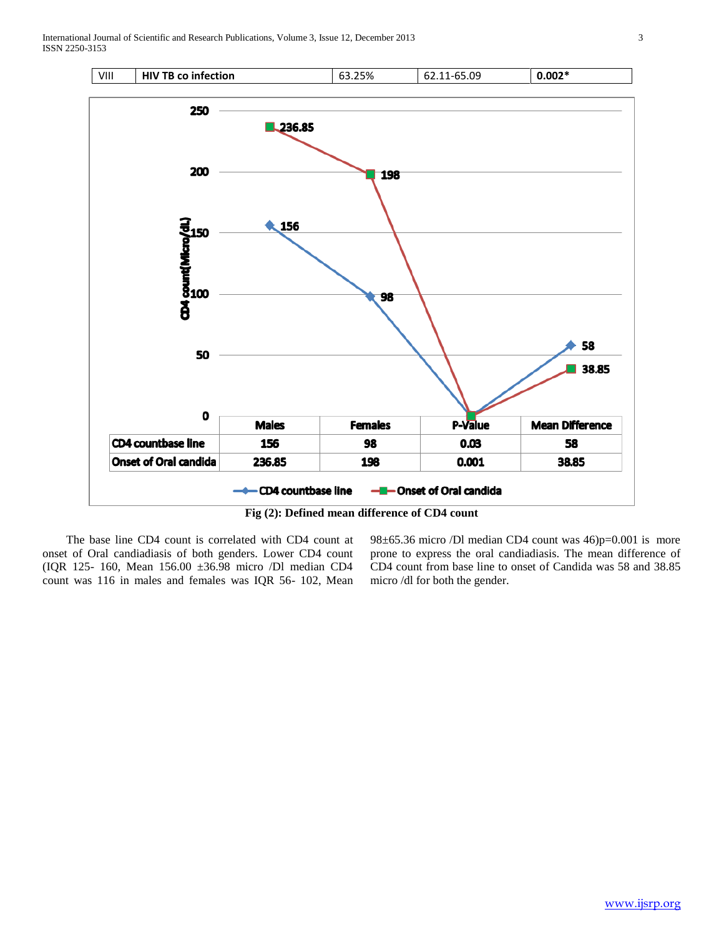

**Fig (2): Defined mean difference of CD4 count**

 The base line CD4 count is correlated with CD4 count at onset of Oral candiadiasis of both genders. Lower CD4 count (IQR 125- 160, Mean 156.00 ±36.98 micro /Dl median CD4 count was 116 in males and females was IQR 56- 102, Mean

98±65.36 micro /Dl median CD4 count was 46)p=0.001 is more prone to express the oral candiadiasis. The mean difference of CD4 count from base line to onset of Candida was 58 and 38.85 micro /dl for both the gender.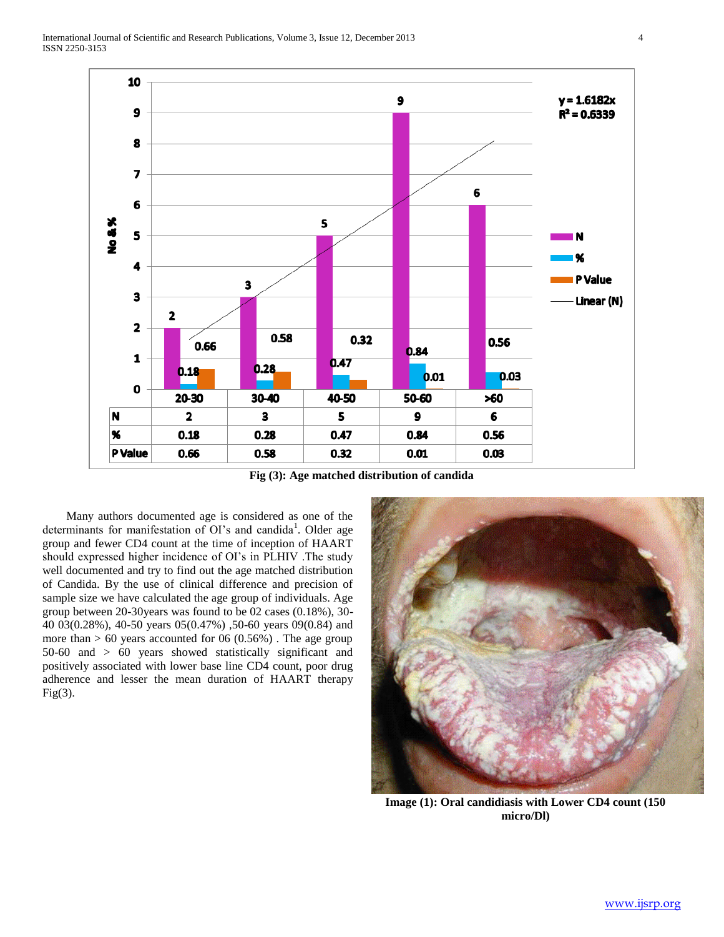

**Fig (3): Age matched distribution of candida**

 Many authors documented age is considered as one of the determinants for manifestation of OI's and candida<sup>1</sup>. Older age group and fewer CD4 count at the time of inception of HAART should expressed higher incidence of OI's in PLHIV .The study well documented and try to find out the age matched distribution of Candida. By the use of clinical difference and precision of sample size we have calculated the age group of individuals. Age group between 20-30years was found to be 02 cases (0.18%), 30- 40 03(0.28%), 40-50 years 05(0.47%) ,50-60 years 09(0.84) and more than  $> 60$  years accounted for 06 (0.56%). The age group 50-60 and > 60 years showed statistically significant and positively associated with lower base line CD4 count, poor drug adherence and lesser the mean duration of HAART therapy  $Fig(3).$ 



**Image (1): Oral candidiasis with Lower CD4 count (150 micro/Dl)**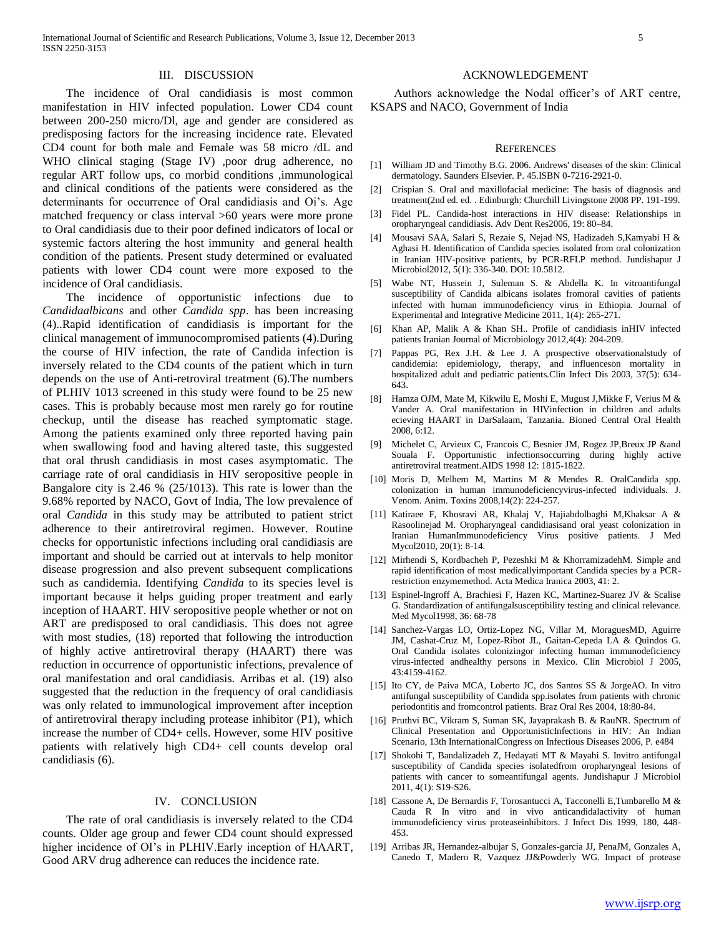#### III. DISCUSSION

 The incidence of Oral candidiasis is most common manifestation in HIV infected population. Lower CD4 count between 200-250 micro/Dl, age and gender are considered as predisposing factors for the increasing incidence rate. Elevated CD4 count for both male and Female was 58 micro /dL and WHO clinical staging (Stage IV) ,poor drug adherence, no regular ART follow ups, co morbid conditions ,immunological and clinical conditions of the patients were considered as the determinants for occurrence of Oral candidiasis and Oi's. Age matched frequency or class interval >60 years were more prone to Oral candidiasis due to their poor defined indicators of local or systemic factors altering the host immunity and general health condition of the patients. Present study determined or evaluated patients with lower CD4 count were more exposed to the incidence of Oral candidiasis.

 The incidence of opportunistic infections due to *Candidaalbicans* and other *Candida spp*. has been increasing (4)..Rapid identification of candidiasis is important for the clinical management of immunocompromised patients (4).During the course of HIV infection, the rate of Candida infection is inversely related to the CD4 counts of the patient which in turn depends on the use of Anti-retroviral treatment (6).The numbers of PLHIV 1013 screened in this study were found to be 25 new cases. This is probably because most men rarely go for routine checkup, until the disease has reached symptomatic stage. Among the patients examined only three reported having pain when swallowing food and having altered taste, this suggested that oral thrush candidiasis in most cases asymptomatic. The carriage rate of oral candidiasis in HIV seropositive people in Bangalore city is 2.46 % (25/1013). This rate is lower than the 9.68% reported by NACO, Govt of India, The low prevalence of oral *Candida* in this study may be attributed to patient strict adherence to their antiretroviral regimen. However. Routine checks for opportunistic infections including oral candidiasis are important and should be carried out at intervals to help monitor disease progression and also prevent subsequent complications such as candidemia. Identifying *Candida* to its species level is important because it helps guiding proper treatment and early inception of HAART. HIV seropositive people whether or not on ART are predisposed to oral candidiasis. This does not agree with most studies, (18) reported that following the introduction of highly active antiretroviral therapy (HAART) there was reduction in occurrence of opportunistic infections, prevalence of oral manifestation and oral candidiasis. Arribas et al. (19) also suggested that the reduction in the frequency of oral candidiasis was only related to immunological improvement after inception of antiretroviral therapy including protease inhibitor (P1), which increase the number of CD4+ cells. However, some HIV positive patients with relatively high CD4+ cell counts develop oral candidiasis (6).

#### IV. CONCLUSION

 The rate of oral candidiasis is inversely related to the CD4 counts. Older age group and fewer CD4 count should expressed higher incidence of OI's in PLHIV.Early inception of HAART, Good ARV drug adherence can reduces the incidence rate.

#### ACKNOWLEDGEMENT

 Authors acknowledge the Nodal officer's of ART centre, KSAPS and NACO, Government of India

#### **REFERENCES**

- [1] William JD and Timothy B.G. 2006. Andrews' diseases of the skin: Clinical dermatology. Saunders Elsevier. P. 45.ISBN 0-7216-2921-0.
- [2] Crispian S. Oral and maxillofacial medicine: The basis of diagnosis and treatment(2nd ed. ed. . Edinburgh: Churchill Livingstone 2008 PP. 191-199.
- [3] Fidel PL. Candida-host interactions in HIV disease: Relationships in oropharyngeal candidiasis. Adv Dent Res2006, 19: 80–84.
- [4] Mousavi SAA, Salari S, Rezaie S, Nejad NS, Hadizadeh S,Kamyabi H & Aghasi H. Identification of Candida species isolated from oral colonization in Iranian HIV-positive patients, by PCR-RFLP method. Jundishapur J Microbiol2012, 5(1): 336-340. DOI: 10.5812.
- [5] Wabe NT, Hussein J, Suleman S. & Abdella K. In vitroantifungal susceptibility of Candida albicans isolates fromoral cavities of patients infected with human immunodeficiency virus in Ethiopia. Journal of Experimental and Integrative Medicine 2011, 1(4): 265-271.
- [6] Khan AP, Malik A & Khan SH.. Profile of candidiasis inHIV infected patients Iranian Journal of Microbiology 2012,4(4): 204-209.
- [7] Pappas PG, Rex J.H. & Lee J. A prospective observationalstudy of candidemia: epidemiology, therapy, and influenceson mortality in hospitalized adult and pediatric patients.Clin Infect Dis 2003, 37(5): 634- 643.
- [8] Hamza OJM, Mate M, Kikwilu E, Moshi E, Mugust J,Mikke F, Verius M & Vander A. Oral manifestation in HIVinfection in children and adults ecieving HAART in DarSalaam, Tanzania. Bioned Central Oral Health 2008, 6:12.
- [9] Michelet C, Arvieux C, Francois C, Besnier JM, Rogez JP,Breux JP &and Souala F. Opportunistic infectionsoccurring during highly active antiretroviral treatment.AIDS 1998 12: 1815-1822.
- [10] Moris D, Melhem M, Martins M & Mendes R. OralCandida spp. colonization in human immunodeficiencyvirus-infected individuals. J. Venom. Anim. Toxins 2008,14(2): 224-257.
- [11] Katiraee F, Khosravi AR, Khalaj V, Hajiabdolbaghi M,Khaksar A & Rasoolinejad M. Oropharyngeal candidiasisand oral yeast colonization in Iranian HumanImmunodeficiency Virus positive patients. J Med Mycol2010, 20(1): 8-14.
- [12] Mirhendi S, Kordbacheh P, Pezeshki M & KhorramizadehM. Simple and rapid identification of most medicallyimportant Candida species by a PCRrestriction enzymemethod. Acta Medica Iranica 2003, 41: 2.
- [13] Espinel-Ingroff A, Brachiesi F, Hazen KC, Martinez-Suarez JV & Scalise G. Standardization of antifungalsusceptibility testing and clinical relevance. Med Mycol1998, 36: 68-78
- [14] Sanchez-Vargas LO, Ortiz-Lopez NG, Villar M, MoraguesMD, Aguirre JM, Cashat-Cruz M, Lopez-Ribot JL, Gaitan-Cepeda LA & Quindos G. Oral Candida isolates colonizingor infecting human immunodeficiency virus-infected andhealthy persons in Mexico. Clin Microbiol J 2005, 43:4159-4162.
- [15] Ito CY, de Paiva MCA, Loberto JC, dos Santos SS & JorgeAO. In vitro antifungal susceptibility of Candida spp.isolates from patients with chronic periodontitis and fromcontrol patients. Braz Oral Res 2004, 18:80-84.
- [16] Pruthvi BC, Vikram S, Suman SK, Jayaprakash B. & RauNR. Spectrum of Clinical Presentation and OpportunisticInfections in HIV: An Indian Scenario, 13th InternationalCongress on Infectious Diseases 2006, P. e484
- [17] Shokohi T, Bandalizadeh Z, Hedayati MT & Mayahi S. Invitro antifungal susceptibility of Candida species isolatedfrom oropharyngeal lesions of patients with cancer to someantifungal agents. Jundishapur J Microbiol 2011, 4(1): S19-S26.
- [18] Cassone A, De Bernardis F, Torosantucci A, Tacconelli E,Tumbarello M & Cauda R In vitro and in vivo anticandidalactivity of human immunodeficiency virus proteaseinhibitors. J Infect Dis 1999, 180, 448- 453.
- [19] Arribas JR, Hernandez-albujar S, Gonzales-garcia JJ, PenaJM, Gonzales A, Canedo T, Madero R, Vazquez JJ&Powderly WG. Impact of protease